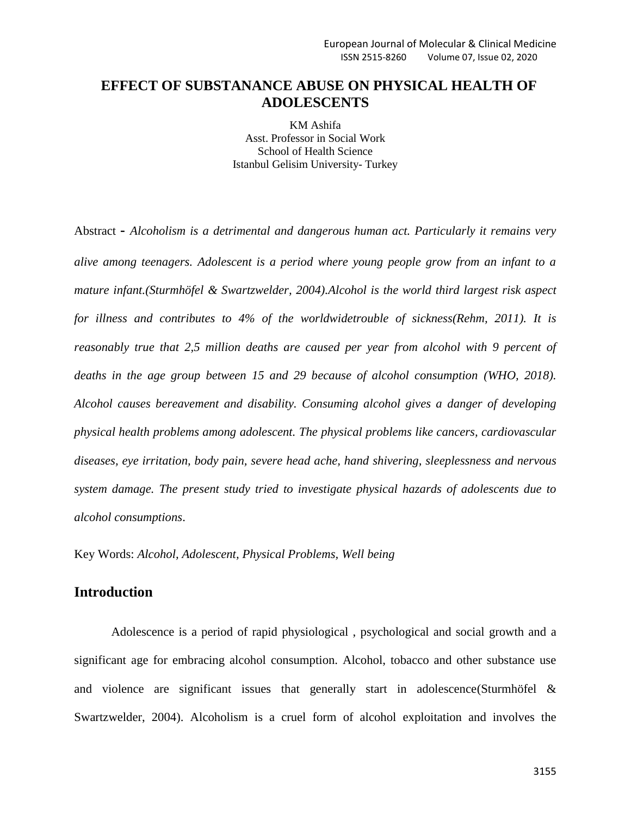# **EFFECT OF SUBSTANANCE ABUSE ON PHYSICAL HEALTH OF ADOLESCENTS**

KM Ashifa Asst. Professor in Social Work School of Health Science Istanbul Gelisim University- Turkey

Abstract **-** *Alcoholism is a detrimental and dangerous human act. Particularly it remains very alive among teenagers. Adolescent is a period where young people grow from an infant to a mature infant.(Sturmhöfel & Swartzwelder, 2004).Alcohol is the world third largest risk aspect for illness and contributes to 4% of the worldwidetrouble of sickness(Rehm, 2011). It is reasonably true that 2,5 million deaths are caused per year from alcohol with 9 percent of deaths in the age group between 15 and 29 because of alcohol consumption (WHO, 2018). Alcohol causes bereavement and disability. Consuming alcohol gives a danger of developing physical health problems among adolescent. The physical problems like cancers, cardiovascular diseases, eye irritation, body pain, severe head ache, hand shivering, sleeplessness and nervous system damage. The present study tried to investigate physical hazards of adolescents due to alcohol consumptions*.

Key Words: *Alcohol, Adolescent, Physical Problems, Well being*

# **Introduction**

Adolescence is a period of rapid physiological , psychological and social growth and a significant age for embracing alcohol consumption. Alcohol, tobacco and other substance use and violence are significant issues that generally start in adolescence(Sturmhöfel & Swartzwelder, 2004). Alcoholism is a cruel form of alcohol exploitation and involves the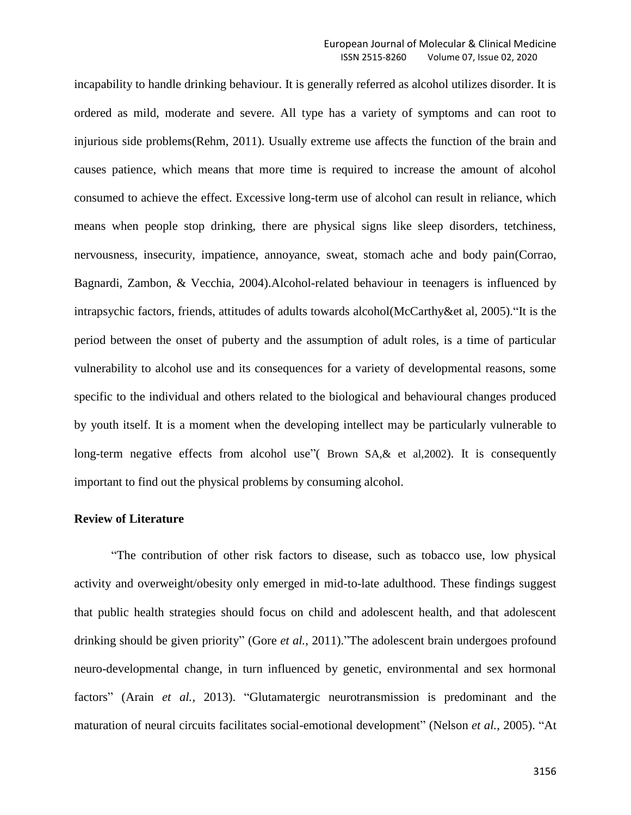incapability to handle drinking behaviour. It is generally referred as alcohol utilizes disorder. It is ordered as mild, moderate and severe. All type has a variety of symptoms and can root to injurious side problems(Rehm, 2011). Usually extreme use affects the function of the brain and causes patience, which means that more time is required to increase the amount of alcohol consumed to achieve the effect. Excessive long-term use of alcohol can result in reliance, which means when people stop drinking, there are physical signs like sleep disorders, tetchiness, nervousness, insecurity, impatience, annoyance, sweat, stomach ache and body pain(Corrao, Bagnardi, Zambon, & Vecchia, 2004).Alcohol-related behaviour in teenagers is influenced by intrapsychic factors, friends, attitudes of adults towards alcohol(McCarthy&et al, 2005)."It is the period between the onset of puberty and the assumption of adult roles, is a time of particular vulnerability to alcohol use and its consequences for a variety of developmental reasons, some specific to the individual and others related to the biological and behavioural changes produced by youth itself. It is a moment when the developing intellect may be particularly vulnerable to long-term negative effects from alcohol use" (Brown SA, & et al, 2002). It is consequently important to find out the physical problems by consuming alcohol.

#### **Review of Literature**

"The contribution of other risk factors to disease, such as tobacco use, low physical activity and overweight/obesity only emerged in mid-to-late adulthood. These findings suggest that public health strategies should focus on child and adolescent health, and that adolescent drinking should be given priority" (Gore *et al.*, 2011)."The adolescent brain undergoes profound neuro-developmental change, in turn influenced by genetic, environmental and sex hormonal factors" (Arain *et al.*, 2013). "Glutamatergic neurotransmission is predominant and the maturation of neural circuits facilitates social-emotional development" (Nelson *et al.*, 2005). "At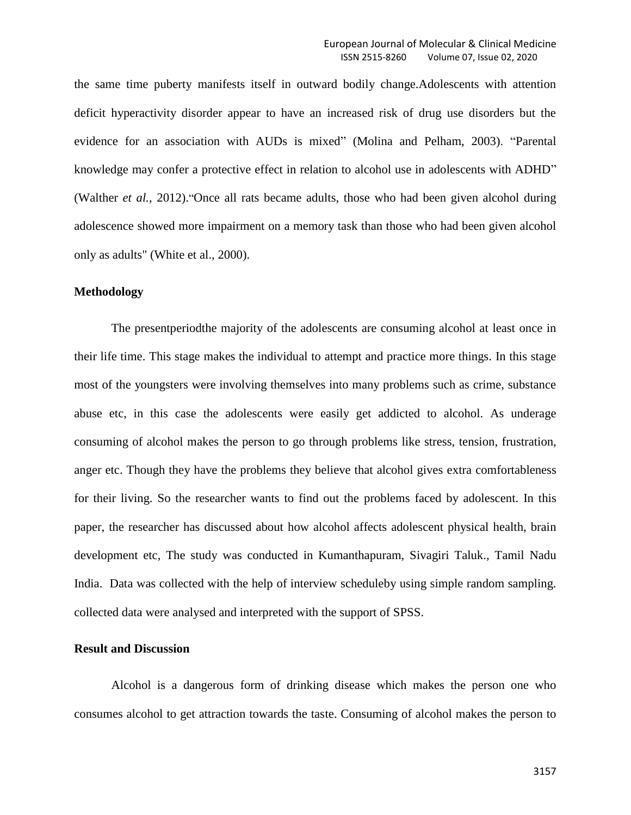the same time puberty manifests itself in outward bodily change.Adolescents with attention deficit hyperactivity disorder appear to have an increased risk of drug use disorders but the evidence for an association with AUDs is mixed" (Molina and Pelham, 2003). "Parental knowledge may confer a protective effect in relation to alcohol use in adolescents with ADHD" (Walther *et al.*, 2012)."Once all rats became adults, those who had been given alcohol during adolescence showed more impairment on a memory task than those who had been given alcohol only as adults" (White et al., 2000).

#### **Methodology**

The presentperiodthe majority of the adolescents are consuming alcohol at least once in their life time. This stage makes the individual to attempt and practice more things. In this stage most of the youngsters were involving themselves into many problems such as crime, substance abuse etc, in this case the adolescents were easily get addicted to alcohol. As underage consuming of alcohol makes the person to go through problems like stress, tension, frustration, anger etc. Though they have the problems they believe that alcohol gives extra comfortableness for their living. So the researcher wants to find out the problems faced by adolescent. In this paper, the researcher has discussed about how alcohol affects adolescent physical health, brain development etc, The study was conducted in Kumanthapuram, Sivagiri Taluk., Tamil Nadu India. Data was collected with the help of interview scheduleby using simple random sampling. collected data were analysed and interpreted with the support of SPSS.

#### **Result and Discussion**

Alcohol is a dangerous form of drinking disease which makes the person one who consumes alcohol to get attraction towards the taste. Consuming of alcohol makes the person to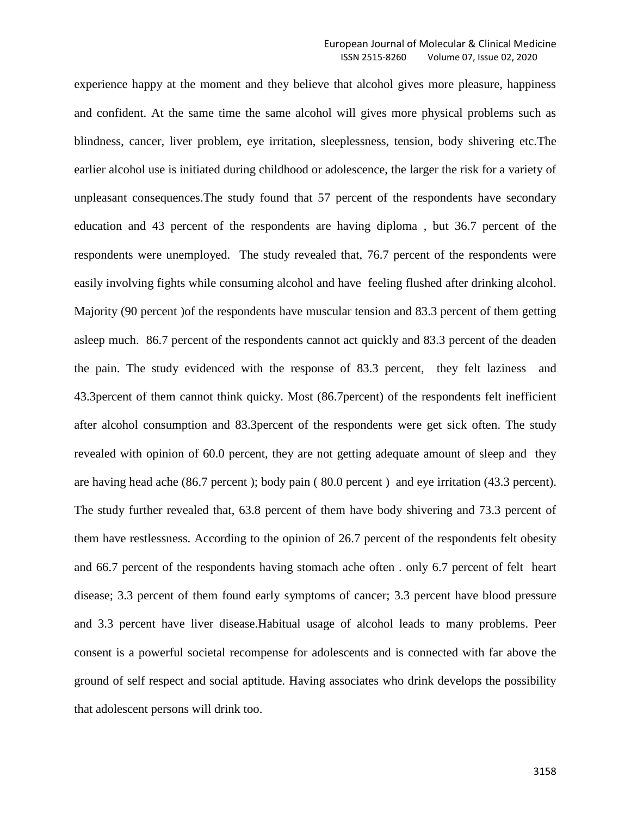experience happy at the moment and they believe that alcohol gives more pleasure, happiness and confident. At the same time the same alcohol will gives more physical problems such as blindness, cancer, liver problem, eye irritation, sleeplessness, tension, body shivering etc.The earlier alcohol use is initiated during childhood or adolescence, the larger the risk for a variety of unpleasant consequences.The study found that 57 percent of the respondents have secondary education and 43 percent of the respondents are having diploma , but 36.7 percent of the respondents were unemployed. The study revealed that, 76.7 percent of the respondents were easily involving fights while consuming alcohol and have feeling flushed after drinking alcohol. Majority (90 percent )of the respondents have muscular tension and 83.3 percent of them getting asleep much. 86.7 percent of the respondents cannot act quickly and 83.3 percent of the deaden the pain. The study evidenced with the response of 83.3 percent, they felt laziness and 43.3percent of them cannot think quicky. Most (86.7percent) of the respondents felt inefficient after alcohol consumption and 83.3percent of the respondents were get sick often. The study revealed with opinion of 60.0 percent, they are not getting adequate amount of sleep and they are having head ache (86.7 percent ); body pain ( 80.0 percent ) and eye irritation (43.3 percent). The study further revealed that, 63.8 percent of them have body shivering and 73.3 percent of them have restlessness. According to the opinion of 26.7 percent of the respondents felt obesity and 66.7 percent of the respondents having stomach ache often . only 6.7 percent of felt heart disease; 3.3 percent of them found early symptoms of cancer; 3.3 percent have blood pressure and 3.3 percent have liver disease.Habitual usage of alcohol leads to many problems. Peer consent is a powerful societal recompense for adolescents and is connected with far above the ground of self respect and social aptitude. Having associates who drink develops the possibility that adolescent persons will drink too.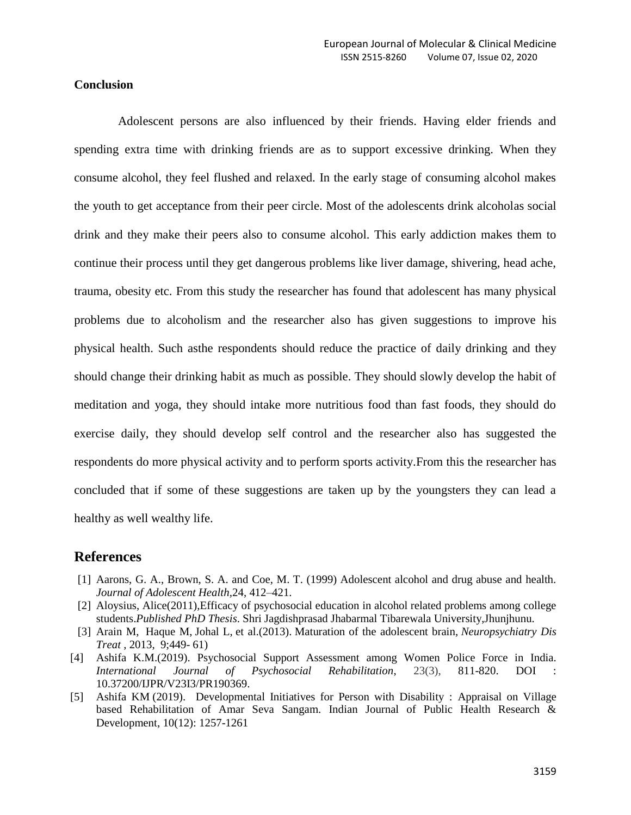### **Conclusion**

Adolescent persons are also influenced by their friends. Having elder friends and spending extra time with drinking friends are as to support excessive drinking. When they consume alcohol, they feel flushed and relaxed. In the early stage of consuming alcohol makes the youth to get acceptance from their peer circle. Most of the adolescents drink alcoholas social drink and they make their peers also to consume alcohol. This early addiction makes them to continue their process until they get dangerous problems like liver damage, shivering, head ache, trauma, obesity etc. From this study the researcher has found that adolescent has many physical problems due to alcoholism and the researcher also has given suggestions to improve his physical health. Such asthe respondents should reduce the practice of daily drinking and they should change their drinking habit as much as possible. They should slowly develop the habit of meditation and yoga, they should intake more nutritious food than fast foods, they should do exercise daily, they should develop self control and the researcher also has suggested the respondents do more physical activity and to perform sports activity.From this the researcher has concluded that if some of these suggestions are taken up by the youngsters they can lead a healthy as well wealthy life.

## **References**

- [1] Aarons, G. A., Brown, S. A. and Coe, M. T. (1999) Adolescent alcohol and drug abuse and health. *Journal of Adolescent Health,*24, 412–421.
- [2] Aloysius, Alice(2011),Efficacy of psychosocial education in alcohol related problems among college students.*Published PhD Thesis*. Shri Jagdishprasad Jhabarmal Tibarewala University,Jhunjhunu.
- [3] Arain M, Haque M, Johal L, et al.(2013). Maturation of the adolescent brain, *Neuropsychiatry Dis Treat* , 2013, 9;449- 61)
- [4] Ashifa K.M.(2019). Psychosocial Support Assessment among Women Police Force in India. *International Journal of Psychosocial Rehabilitation*, 23(3), 811-820. DOI : 10.37200/IJPR/V23I3/PR190369.
- [5] Ashifa KM (2019). Developmental Initiatives for Person with Disability : Appraisal on Village based Rehabilitation of Amar Seva Sangam. Indian Journal of Public Health Research & Development, 10(12): 1257-1261